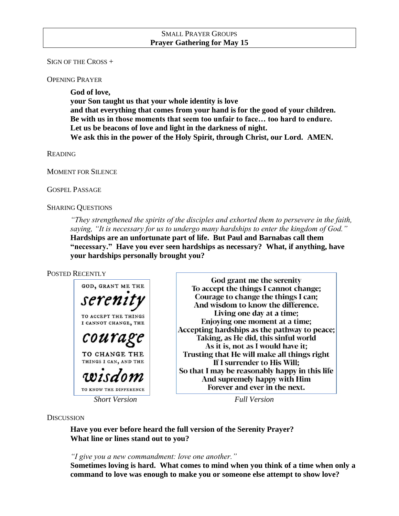### SMALL PRAYER GROUPS **Prayer Gathering for May 15**

SIGN OF THE CROSS +

OPENING PRAYER

**God of love, your Son taught us that your whole identity is love and that everything that comes from your hand is for the good of your children. Be with us in those moments that seem too unfair to face… too hard to endure. Let us be beacons of love and light in the darkness of night. We ask this in the power of the Holy Spirit, through Christ, our Lord. AMEN.**

READING

MOMENT FOR SILENCE

GOSPEL PASSAGE

SHARING QUESTIONS

*"They strengthened the spirits of the disciples and exhorted them to persevere in the faith, saying, "It is necessary for us to undergo many hardships to enter the kingdom of God."* **Hardships are an unfortunate part of life. But Paul and Barnabas call them "necessary." Have you ever seen hardships as necessary? What, if anything, have your hardships personally brought you?**

### POSTED RECENTLY



God grant me the serenity To accept the things I cannot change; Courage to change the things I can: And wisdom to know the difference. Living one day at a time: Enjoying one moment at a time; Accepting hardships as the pathway to peace; Taking, as He did, this sinful world As it is, not as I would have it; Trusting that He will make all things right If I surrender to His Will; So that I may be reasonably happy in this life And supremely happy with Him Forever and ever in the next.

*Short Version Full Version*

#### **DISCUSSION**

**Have you ever before heard the full version of the Serenity Prayer? What line or lines stand out to you?** 

*"I give you a new commandment: love one another."*

**Sometimes loving is hard. What comes to mind when you think of a time when only a command to love was enough to make you or someone else attempt to show love?**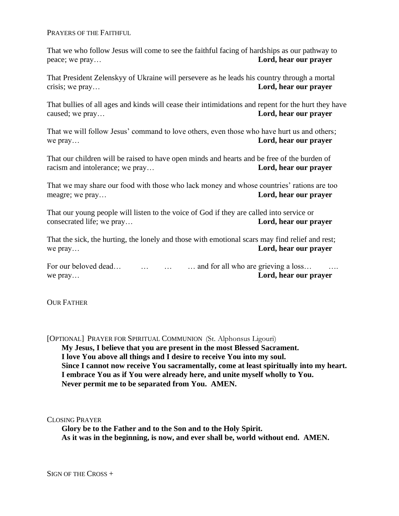PRAYERS OF THE FAITHFUL

That we who follow Jesus will come to see the faithful facing of hardships as our pathway to peace; we pray… **Lord, hear our prayer**

That President Zelenskyy of Ukraine will persevere as he leads his country through a mortal crisis; we pray… **Lord, hear our prayer**

That bullies of all ages and kinds will cease their intimidations and repent for the hurt they have caused; we pray… **Lord, hear our prayer**

That we will follow Jesus' command to love others, even those who have hurt us and others; we pray… **Lord, hear our prayer**

That our children will be raised to have open minds and hearts and be free of the burden of racism and intolerance; we pray… **Lord, hear our prayer**

That we may share our food with those who lack money and whose countries' rations are too meagre; we pray… **Lord, hear our prayer**

That our young people will listen to the voice of God if they are called into service or consecrated life; we pray… **Lord, hear our prayer**

That the sick, the hurting, the lonely and those with emotional scars may find relief and rest; we pray… **Lord, hear our prayer**

For our beloved dead… … … … … and for all who are grieving a loss… we pray… **Lord, hear our prayer**

**OUR FATHER** 

[OPTIONAL] PRAYER FOR SPIRITUAL COMMUNION (St. Alphonsus Ligouri) **My Jesus, I believe that you are present in the most Blessed Sacrament. I love You above all things and I desire to receive You into my soul. Since I cannot now receive You sacramentally, come at least spiritually into my heart. I embrace You as if You were already here, and unite myself wholly to You. Never permit me to be separated from You. AMEN.**

CLOSING PRAYER

**Glory be to the Father and to the Son and to the Holy Spirit. As it was in the beginning, is now, and ever shall be, world without end. AMEN.**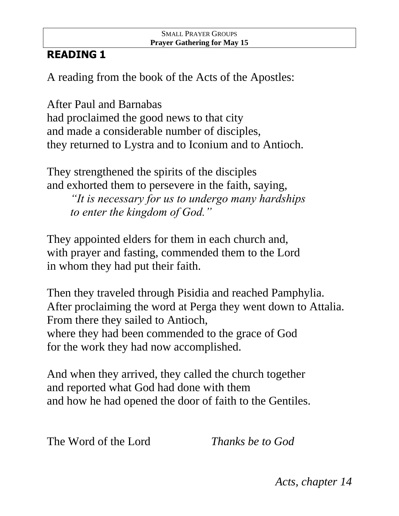## SMALL PRAYER GROUPS **Prayer Gathering for May 15**

# **READING 1**

A reading from the book of the Acts of the Apostles:

After Paul and Barnabas had proclaimed the good news to that city and made a considerable number of disciples, they returned to Lystra and to Iconium and to Antioch.

They strengthened the spirits of the disciples and exhorted them to persevere in the faith, saying, *"It is necessary for us to undergo many hardships to enter the kingdom of God."*

They appointed elders for them in each church and, with prayer and fasting, commended them to the Lord in whom they had put their faith.

Then they traveled through Pisidia and reached Pamphylia. After proclaiming the word at Perga they went down to Attalia. From there they sailed to Antioch, where they had been commended to the grace of God for the work they had now accomplished.

And when they arrived, they called the church together and reported what God had done with them and how he had opened the door of faith to the Gentiles.

The Word of the Lord *Thanks be to God*

*Acts, chapter 14*